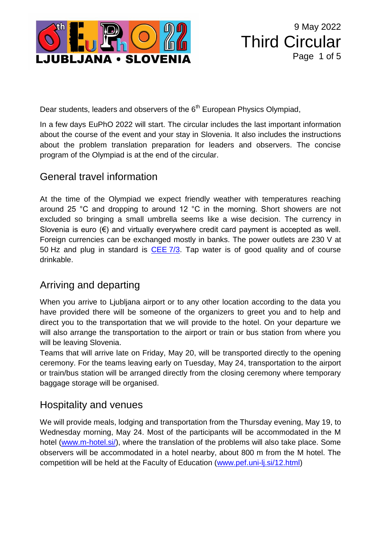

Dear students, leaders and observers of the 6<sup>th</sup> European Physics Olympiad,

In a few days EuPhO 2022 will start. The circular includes the last important information about the course of the event and your stay in Slovenia. It also includes the instructions about the problem translation preparation for leaders and observers. The concise program of the Olympiad is at the end of the circular.

### General travel information

At the time of the Olympiad we expect friendly weather with temperatures reaching around 25 °C and dropping to around 12 °C in the morning. Short showers are not excluded so bringing a small umbrella seems like a wise decision. The currency in Slovenia is euro  $(\epsilon)$  and virtually everywhere credit card payment is accepted as well. Foreign currencies can be exchanged mostly in banks. The power outlets are 230 V at 50 Hz and plug in standard is [CEE](https://en.wikipedia.org/wiki/Schuko) 7/3. Tap water is of good quality and of course drinkable.

# Arriving and departing

When you arrive to Ljubljana airport or to any other location according to the data you have provided there will be someone of the organizers to greet you and to help and direct you to the transportation that we will provide to the hotel. On your departure we will also arrange the transportation to the airport or train or bus station from where you will be leaving Slovenia.

Teams that will arrive late on Friday, May 20, will be transported directly to the opening ceremony. For the teams leaving early on Tuesday, May 24, transportation to the airport or train/bus station will be arranged directly from the closing ceremony where temporary baggage storage will be organised.

#### Hospitality and venues

We will provide meals, lodging and transportation from the Thursday evening, May 19, to Wednesday morning, May 24. Most of the participants will be accommodated in the M hotel [\(www.m-hotel.si/\)](http://www.m-hotel.si/), where the translation of the problems will also take place. Some observers will be accommodated in a hotel nearby, about 800 m from the M hotel. The competition will be held at the Faculty of Education [\(www.pef.uni-lj.si/12.html\)](http://www.pef.uni-lj.si/12.html)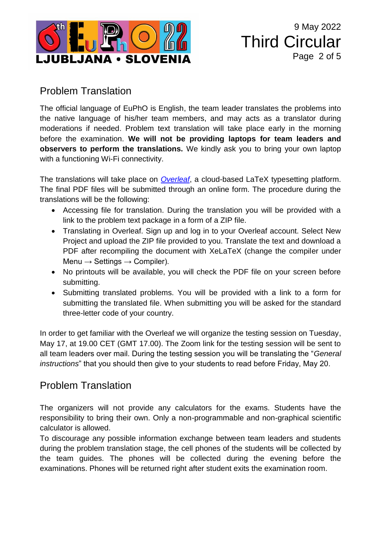

9 May 2022 Third Circular Page 2 of 5

#### Problem Translation

The official language of EuPhO is English, the team leader translates the problems into the native language of his/her team members, and may acts as a translator during moderations if needed. Problem text translation will take place early in the morning before the examination. **We will not be providing laptops for team leaders and observers to perform the translations.** We kindly ask you to bring your own laptop with a functioning Wi-Fi connectivity.

The translations will take place on *[Overleaf](https://www.overleaf.com/)*, a cloud-based LaTeX typesetting platform. The final PDF files will be submitted through an online form. The procedure during the translations will be the following:

- Accessing file for translation. During the translation you will be provided with a link to the problem text package in a form of a ZIP file.
- Translating in Overleaf. Sign up and log in to your Overleaf account. Select New Project and upload the ZIP file provided to you. Translate the text and download a PDF after recompiling the document with XeLaTeX (change the compiler under Menu  $\rightarrow$  Settings  $\rightarrow$  Compiler).
- No printouts will be available, you will check the PDF file on your screen before submitting.
- Submitting translated problems. You will be provided with a link to a form for submitting the translated file. When submitting you will be asked for the standard three-letter code of your country.

In order to get familiar with the Overleaf we will organize the testing session on Tuesday, May 17, at 19.00 CET (GMT 17.00). The Zoom link for the testing session will be sent to all team leaders over mail. During the testing session you will be translating the "*General instructions*" that you should then give to your students to read before Friday, May 20.

# Problem Translation

The organizers will not provide any calculators for the exams. Students have the responsibility to bring their own. Only a non-programmable and non-graphical scientific calculator is allowed.

To discourage any possible information exchange between team leaders and students during the problem translation stage, the cell phones of the students will be collected by the team guides. The phones will be collected during the evening before the examinations. Phones will be returned right after student exits the examination room.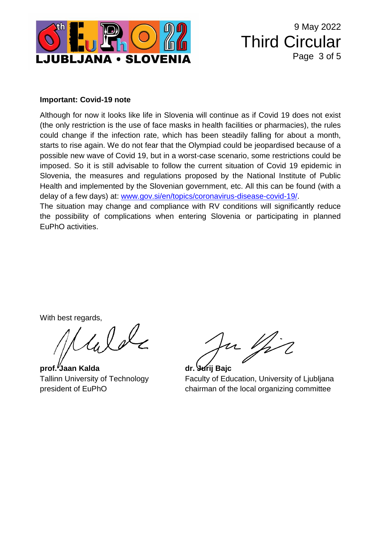

9 May 2022 Third Circular Page 3 of 5

#### **Important: Covid-19 note**

Although for now it looks like life in Slovenia will continue as if Covid 19 does not exist (the only restriction is the use of face masks in health facilities or pharmacies), the rules could change if the infection rate, which has been steadily falling for about a month, starts to rise again. We do not fear that the Olympiad could be jeopardised because of a possible new wave of Covid 19, but in a worst-case scenario, some restrictions could be imposed. So it is still advisable to follow the current situation of Covid 19 epidemic in Slovenia, the measures and regulations proposed by the National Institute of Public Health and implemented by the Slovenian government, etc. All this can be found (with a delay of a few days) at: [www.gov.si/en/topics/coronavirus-disease-covid-19/.](https://www.gov.si/en/topics/coronavirus-disease-covid-19/)

The situation may change and compliance with RV conditions will significantly reduce the possibility of complications when entering Slovenia or participating in planned EuPhO activities.

With best regards,

Welc

**prof. Jaan Kalda dr. Jurij Bajc**

u Vir

Tallinn University of Technology Faculty of Education, University of Ljubljana president of EuPhO chairman of the local organizing committee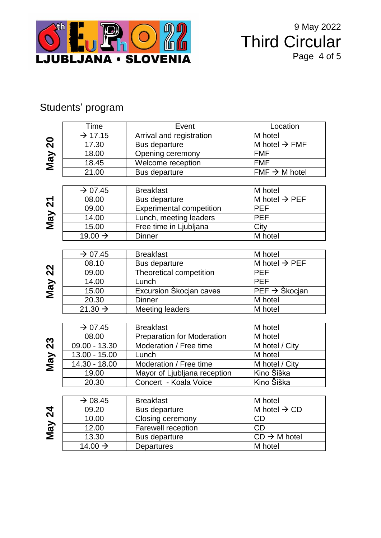

9 May 2022 Third Circular Page 4 of 5

# Students' program

|               | Time                | Event                             | Location                             |  |
|---------------|---------------------|-----------------------------------|--------------------------------------|--|
|               | $\rightarrow$ 17.15 | Arrival and registration          | M hotel                              |  |
| May 20        | 17.30               | Bus departure                     | M hotel $\rightarrow$ FMF            |  |
|               | 18.00               | Opening ceremony                  | <b>FMF</b>                           |  |
|               | 18.45               | Welcome reception                 | <b>FMF</b>                           |  |
|               | 21.00               | Bus departure                     | $\overline{FMF} \rightarrow M$ hotel |  |
|               |                     |                                   |                                      |  |
|               | $\rightarrow$ 07.45 | <b>Breakfast</b>                  | M hotel                              |  |
|               | 08.00               | Bus departure                     | M hotel $\rightarrow$ PEF            |  |
|               | 09.00               | <b>Experimental competition</b>   | <b>PEF</b>                           |  |
| May 21        | 14.00               | Lunch, meeting leaders            | <b>PEF</b>                           |  |
|               | 15.00               | Free time in Ljubljana            | City                                 |  |
|               | 19.00 $\rightarrow$ | <b>Dinner</b>                     | M hotel                              |  |
|               |                     |                                   |                                      |  |
|               | $\rightarrow$ 07.45 | <b>Breakfast</b>                  | M hotel                              |  |
|               | 08.10               | Bus departure                     | M hotel $\rightarrow$ PEF            |  |
|               | 09.00               | Theoretical competition           | PEF                                  |  |
|               | 14.00               | Lunch                             | <b>PEF</b>                           |  |
| May 22        | 15.00               | Excursion Škocjan caves           | $PEF \rightarrow \text{Škocjan}$     |  |
|               | 20.30               | <b>Dinner</b>                     | M hotel                              |  |
|               | 21.30 $\rightarrow$ | Meeting leaders                   | M hotel                              |  |
|               |                     |                                   |                                      |  |
|               | $\rightarrow$ 07.45 | <b>Breakfast</b>                  | M hotel                              |  |
|               | 08.00               | <b>Preparation for Moderation</b> | M hotel                              |  |
| May 23        | $09.00 - 13.30$     | Moderation / Free time            | M hotel / City                       |  |
|               | 13.00 - 15.00       | Lunch                             | M hotel                              |  |
|               | 14.30 - 18.00       | Moderation / Free time            | M hotel / City                       |  |
|               | 19.00               | Mayor of Ljubljana reception      | Kino Šiška                           |  |
|               | 20.30               | Concert - Koala Voice             | Kino Šiška                           |  |
|               |                     |                                   |                                      |  |
|               | $\rightarrow$ 08.45 | <b>Breakfast</b>                  | M hotel                              |  |
| <b>May 24</b> | 09.20               | Bus departure                     | M hotel $\rightarrow$ CD             |  |
|               | 10.00               | Closing ceremony                  | <b>CD</b>                            |  |
|               | 12.00               | Farewell reception                | CD                                   |  |
|               | 13.30               | <b>Bus departure</b>              | $CD \rightarrow M$ hotel             |  |
|               | 14.00 $\rightarrow$ | Departures                        | M hotel                              |  |